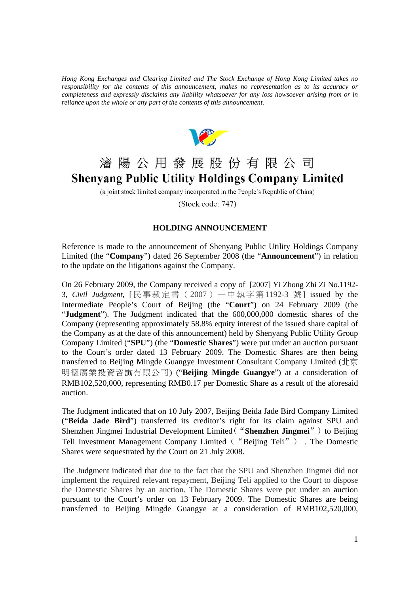*Hong Kong Exchanges and Clearing Limited and The Stock Exchange of Hong Kong Limited takes no responsibility for the contents of this announcement, makes no representation as to its accuracy or completeness and expressly disclaims any liability whatsoever for any loss howsoever arising from or in reliance upon the whole or any part of the contents of this announcement.* 



# 瀋陽公用發展股份有限公司 **Shenyang Public Utility Holdings Company Limited**

(a joint stock limited company incorporated in the People's Republic of China)

(Stock code: 747)

#### **HOLDING ANNOUNCEMENT**

Reference is made to the announcement of Shenyang Public Utility Holdings Company Limited (the "**Company**") dated 26 September 2008 (the "**Announcement**") in relation to the update on the litigations against the Company.

On 26 February 2009, the Company received a copy of [2007] Yi Zhong Zhi Zi No.1192- 3, *Civil Judgment*, [民事裁定書(2007)一中執字第1192-3 號] issued by the Intermediate People's Court of Beijing (the "**Court**") on 24 February 2009 (the "**Judgment**"). The Judgment indicated that the 600,000,000 domestic shares of the Company (representing approximately 58.8% equity interest of the issued share capital of the Company as at the date of this announcement) held by Shenyang Public Utility Group Company Limited ("**SPU**") (the "**Domestic Shares**") were put under an auction pursuant to the Court's order dated 13 February 2009. The Domestic Shares are then being transferred to Beijing Mingde Guangye Investment Consultant Company Limited (北京 明德廣業投資咨詢有限公司) ("**Beijing Mingde Guangye**") at a consideration of RMB102,520,000, representing RMB0.17 per Domestic Share as a result of the aforesaid auction.

The Judgment indicated that on 10 July 2007, Beijing Beida Jade Bird Company Limited ("**Beida Jade Bird**") transferred its creditor's right for its claim against SPU and Shenzhen Jingmei Industrial Development Limited("**Shenzhen Jingmei**") to Beijing Teli Investment Management Company Limited("Beijing Teli") . The Domestic Shares were sequestrated by the Court on 21 July 2008.

The Judgment indicated that due to the fact that the SPU and Shenzhen Jingmei did not implement the required relevant repayment, Beijing Teli applied to the Court to dispose the Domestic Shares by an auction. The Domestic Shares were put under an auction pursuant to the Court's order on 13 February 2009. The Domestic Shares are being transferred to Beijing Mingde Guangye at a consideration of RMB102,520,000,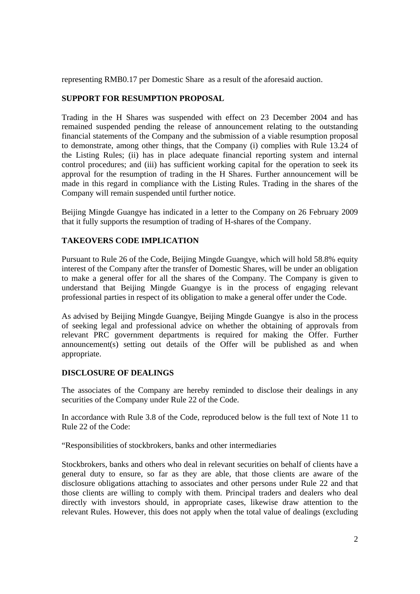representing RMB0.17 per Domestic Share as a result of the aforesaid auction.

## **SUPPORT FOR RESUMPTION PROPOSAL**

Trading in the H Shares was suspended with effect on 23 December 2004 and has remained suspended pending the release of announcement relating to the outstanding financial statements of the Company and the submission of a viable resumption proposal to demonstrate, among other things, that the Company (i) complies with Rule 13.24 of the Listing Rules; (ii) has in place adequate financial reporting system and internal control procedures; and (iii) has sufficient working capital for the operation to seek its approval for the resumption of trading in the H Shares. Further announcement will be made in this regard in compliance with the Listing Rules. Trading in the shares of the Company will remain suspended until further notice.

Beijing Mingde Guangye has indicated in a letter to the Company on 26 February 2009 that it fully supports the resumption of trading of H-shares of the Company.

### **TAKEOVERS CODE IMPLICATION**

Pursuant to Rule 26 of the Code, Beijing Mingde Guangye, which will hold 58.8% equity interest of the Company after the transfer of Domestic Shares, will be under an obligation to make a general offer for all the shares of the Company. The Company is given to understand that Beijing Mingde Guangye is in the process of engaging relevant professional parties in respect of its obligation to make a general offer under the Code.

As advised by Beijing Mingde Guangye, Beijing Mingde Guangye is also in the process of seeking legal and professional advice on whether the obtaining of approvals from relevant PRC government departments is required for making the Offer. Further announcement(s) setting out details of the Offer will be published as and when appropriate.

### **DISCLOSURE OF DEALINGS**

The associates of the Company are hereby reminded to disclose their dealings in any securities of the Company under Rule 22 of the Code.

In accordance with Rule 3.8 of the Code, reproduced below is the full text of Note 11 to Rule 22 of the Code:

"Responsibilities of stockbrokers, banks and other intermediaries

Stockbrokers, banks and others who deal in relevant securities on behalf of clients have a general duty to ensure, so far as they are able, that those clients are aware of the disclosure obligations attaching to associates and other persons under Rule 22 and that those clients are willing to comply with them. Principal traders and dealers who deal directly with investors should, in appropriate cases, likewise draw attention to the relevant Rules. However, this does not apply when the total value of dealings (excluding